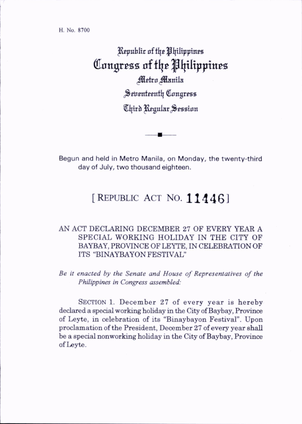H. No. 8700

Republic of the Philippines Congress of the Philippines Metro Manila Seventeenth Congress Chird Regular Session

Begun and held in Metro Manila, on Monday, the twenty-third day of July, two thousand eighteen.

## [REPUBLIC ACT NO.  $11446$ ]

## AN ACT DECLARING DECEMBER 27 OF EVERY YEAR A SPECIAL WORKING HOLIDAY IN THE CITY OF BAYBAY, PROVINCE OF LEYTE, IN CELEBRATION OF ITS "BINAYBAYON FESTIVAL"

Be it enacted by the Senate and House of Representatives of the Philippines in Congress assembled:

SECTION 1. December 27 of every year is hereby declared a special working holiday in the City of Baybay, Province of Leyte, in celebration of its "Binaybayon Festival". Upon proclamation of the President, December 27 of every year shall be a special nonworking holiday in the City of Baybay, Province of Leyte.